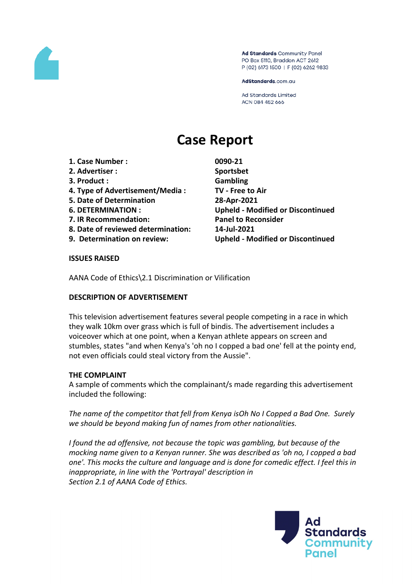

Ad Standards Community Panel PO Box 5110, Braddon ACT 2612 P (02) 6173 1500 | F (02) 6262 9833

AdStandards.com.au

**Ad Standards Limited** ACN 084 452 666

# **Case Report**

- **1. Case Number : 0090-21**
- **2. Advertiser : Sportsbet**
- **3. Product : Gambling**
- **4. Type of Advertisement/Media : TV - Free to Air**
- **5. Date of Determination 28-Apr-2021**
- 
- **7. IR Recommendation: Panel to Reconsider**
- **8. Date of reviewed determination: 14-Jul-2021**
- 

**6. DETERMINATION : Upheld - Modified or Discontinued 9. Determination on review: Upheld - Modified or Discontinued**

## **ISSUES RAISED**

AANA Code of Ethics\2.1 Discrimination or Vilification

## **DESCRIPTION OF ADVERTISEMENT**

This television advertisement features several people competing in a race in which they walk 10km over grass which is full of bindis. The advertisement includes a voiceover which at one point, when a Kenyan athlete appears on screen and stumbles, states "and when Kenya's 'oh no I copped a bad one' fell at the pointy end, not even officials could steal victory from the Aussie".

## **THE COMPLAINT**

A sample of comments which the complainant/s made regarding this advertisement included the following:

*The name of the competitor that fell from Kenya isOh No I Copped a Bad One. Surely we should be beyond making fun of names from other nationalities.*

*I found the ad offensive, not because the topic was gambling, but because of the mocking name given to a Kenyan runner. She was described as 'oh no, I copped a bad one'. This mocks the culture and language and is done for comedic effect. I feel this in inappropriate, in line with the 'Portrayal' description in Section 2.1 of AANA Code of Ethics.*

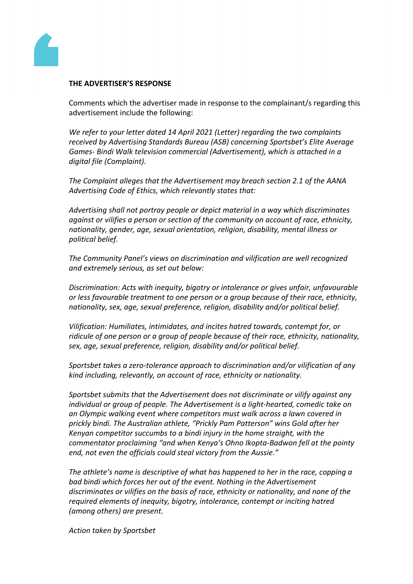

#### **THE ADVERTISER'S RESPONSE**

Comments which the advertiser made in response to the complainant/s regarding this advertisement include the following:

*We refer to your letter dated 14 April 2021 (Letter) regarding the two complaints received by Advertising Standards Bureau (ASB) concerning Sportsbet's Elite Average Games- Bindi Walk television commercial (Advertisement), which is attached in a digital file (Complaint).*

*The Complaint alleges that the Advertisement may breach section 2.1 of the AANA Advertising Code of Ethics, which relevantly states that:*

*Advertising shall not portray people or depict material in a way which discriminates against or vilifies a person or section of the community on account of race, ethnicity, nationality, gender, age, sexual orientation, religion, disability, mental illness or political belief.*

*The Community Panel's views on discrimination and vilification are well recognized and extremely serious, as set out below:*

*Discrimination: Acts with inequity, bigotry or intolerance or gives unfair, unfavourable or less favourable treatment to one person or a group because of their race, ethnicity, nationality, sex, age, sexual preference, religion, disability and/or political belief.*

*Vilification: Humiliates, intimidates, and incites hatred towards, contempt for, or ridicule of one person or a group of people because of their race, ethnicity, nationality, sex, age, sexual preference, religion, disability and/or political belief.*

*Sportsbet takes a zero-tolerance approach to discrimination and/or vilification of any kind including, relevantly, on account of race, ethnicity or nationality.*

*Sportsbet submits that the Advertisement does not discriminate or vilify against any individual or group of people. The Advertisement is a light-hearted, comedic take on an Olympic walking event where competitors must walk across a lawn covered in prickly bindi. The Australian athlete, "Prickly Pam Patterson" wins Gold after her Kenyan competitor succumbs to a bindi injury in the home straight, with the commentator proclaiming "and when Kenya's Ohno Ikopta-Badwon fell at the pointy end, not even the officials could steal victory from the Aussie."*

*The athlete's name is descriptive of what has happened to her in the race, copping a bad bindi which forces her out of the event. Nothing in the Advertisement discriminates or vilifies on the basis of race, ethnicity or nationality, and none of the required elements of inequity, bigotry, intolerance, contempt or inciting hatred (among others) are present.*

*Action taken by Sportsbet*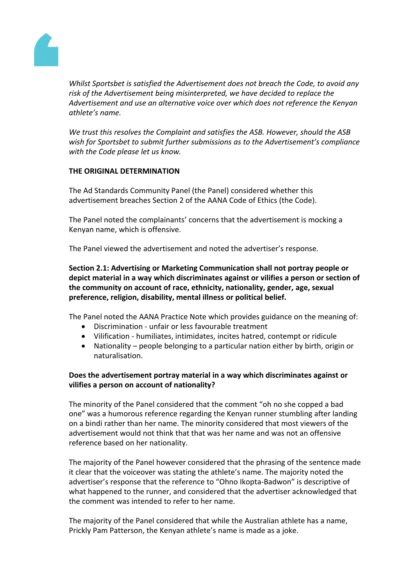

*Whilst Sportsbet is satisfied the Advertisement does not breach the Code, to avoid any risk of the Advertisement being misinterpreted, we have decided to replace the Advertisement and use an alternative voice over which does not reference the Kenyan athlete's name.*

*We trust this resolves the Complaint and satisfies the ASB. However, should the ASB wish for Sportsbet to submit further submissions as to the Advertisement's compliance with the Code please let us know.*

## **THE ORIGINAL DETERMINATION**

The Ad Standards Community Panel (the Panel) considered whether this advertisement breaches Section 2 of the AANA Code of Ethics (the Code).

The Panel noted the complainants' concerns that the advertisement is mocking a Kenyan name, which is offensive.

The Panel viewed the advertisement and noted the advertiser's response.

**Section 2.1: Advertising or Marketing Communication shall not portray people or depict material in a way which discriminates against or vilifies a person or section of the community on account of race, ethnicity, nationality, gender, age, sexual preference, religion, disability, mental illness or political belief.**

The Panel noted the AANA Practice Note which provides guidance on the meaning of:

- Discrimination unfair or less favourable treatment
- Vilification humiliates, intimidates, incites hatred, contempt or ridicule
- Nationality people belonging to a particular nation either by birth, origin or naturalisation.

# **Does the advertisement portray material in a way which discriminates against or vilifies a person on account of nationality?**

The minority of the Panel considered that the comment "oh no she copped a bad one" was a humorous reference regarding the Kenyan runner stumbling after landing on a bindi rather than her name. The minority considered that most viewers of the advertisement would not think that that was her name and was not an offensive reference based on her nationality.

The majority of the Panel however considered that the phrasing of the sentence made it clear that the voiceover was stating the athlete's name. The majority noted the advertiser's response that the reference to "Ohno Ikopta-Badwon" is descriptive of what happened to the runner, and considered that the advertiser acknowledged that the comment was intended to refer to her name.

The majority of the Panel considered that while the Australian athlete has a name, Prickly Pam Patterson, the Kenyan athlete's name is made as a joke.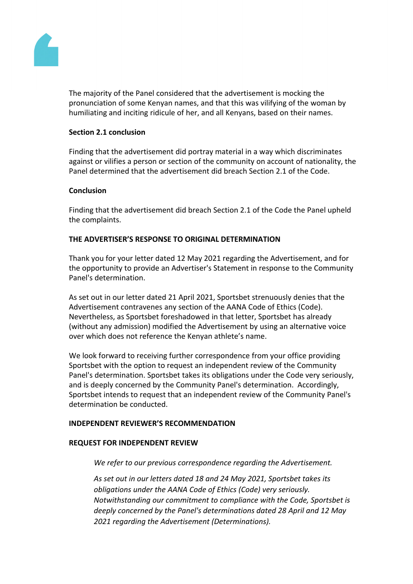

The majority of the Panel considered that the advertisement is mocking the pronunciation of some Kenyan names, and that this was vilifying of the woman by humiliating and inciting ridicule of her, and all Kenyans, based on their names.

## **Section 2.1 conclusion**

Finding that the advertisement did portray material in a way which discriminates against or vilifies a person or section of the community on account of nationality, the Panel determined that the advertisement did breach Section 2.1 of the Code.

## **Conclusion**

Finding that the advertisement did breach Section 2.1 of the Code the Panel upheld the complaints.

# **THE ADVERTISER'S RESPONSE TO ORIGINAL DETERMINATION**

Thank you for your letter dated 12 May 2021 regarding the Advertisement, and for the opportunity to provide an Advertiser's Statement in response to the Community Panel's determination.

As set out in our letter dated 21 April 2021, Sportsbet strenuously denies that the Advertisement contravenes any section of the AANA Code of Ethics (Code). Nevertheless, as Sportsbet foreshadowed in that letter, Sportsbet has already (without any admission) modified the Advertisement by using an alternative voice over which does not reference the Kenyan athlete's name.

We look forward to receiving further correspondence from your office providing Sportsbet with the option to request an independent review of the Community Panel's determination. Sportsbet takes its obligations under the Code very seriously, and is deeply concerned by the Community Panel's determination. Accordingly, Sportsbet intends to request that an independent review of the Community Panel's determination be conducted.

## **INDEPENDENT REVIEWER'S RECOMMENDATION**

## **REQUEST FOR INDEPENDENT REVIEW**

*We refer to our previous correspondence regarding the Advertisement.*

*As set out in our letters dated 18 and 24 May 2021, Sportsbet takes its obligations under the AANA Code of Ethics (Code) very seriously. Notwithstanding our commitment to compliance with the Code, Sportsbet is deeply concerned by the Panel's determinations dated 28 April and 12 May 2021 regarding the Advertisement (Determinations).*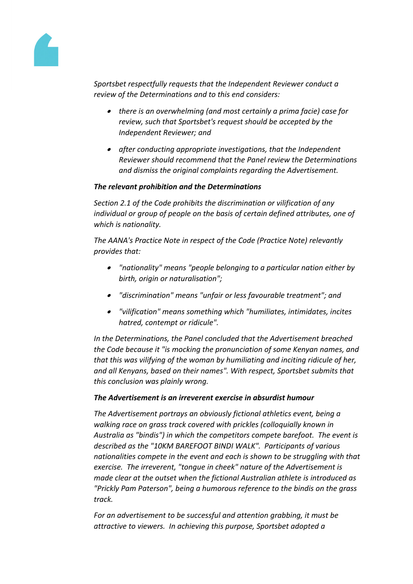

*Sportsbet respectfully requests that the Independent Reviewer conduct a review of the Determinations and to this end considers:*

- *there is an overwhelming (and most certainly a prima facie) case for review, such that Sportsbet's request should be accepted by the Independent Reviewer; and*
- *after conducting appropriate investigations, that the Independent Reviewer should recommend that the Panel review the Determinations and dismiss the original complaints regarding the Advertisement.*

# *The relevant prohibition and the Determinations*

*Section 2.1 of the Code prohibits the discrimination or vilification of any individual or group of people on the basis of certain defined attributes, one of which is nationality.* 

*The AANA's Practice Note in respect of the Code (Practice Note) relevantly provides that:*

- *"nationality" means "people belonging to a particular nation either by birth, origin or naturalisation";*
- *"discrimination" means "unfair or less favourable treatment"; and*
- *"vilification" means something which "humiliates, intimidates, incites hatred, contempt or ridicule".*

*In the Determinations, the Panel concluded that the Advertisement breached the Code because it "is mocking the pronunciation of some Kenyan names, and that this was vilifying of the woman by humiliating and inciting ridicule of her, and all Kenyans, based on their names". With respect, Sportsbet submits that this conclusion was plainly wrong.*

## *The Advertisement is an irreverent exercise in absurdist humour*

*The Advertisement portrays an obviously fictional athletics event, being a walking race on grass track covered with prickles (colloquially known in Australia as "bindis") in which the competitors compete barefoot. The event is described as the "10KM BAREFOOT BINDI WALK". Participants of various nationalities compete in the event and each is shown to be struggling with that exercise. The irreverent, "tongue in cheek" nature of the Advertisement is made clear at the outset when the fictional Australian athlete is introduced as "Prickly Pam Paterson", being a humorous reference to the bindis on the grass track.*

*For an advertisement to be successful and attention grabbing, it must be attractive to viewers. In achieving this purpose, Sportsbet adopted a*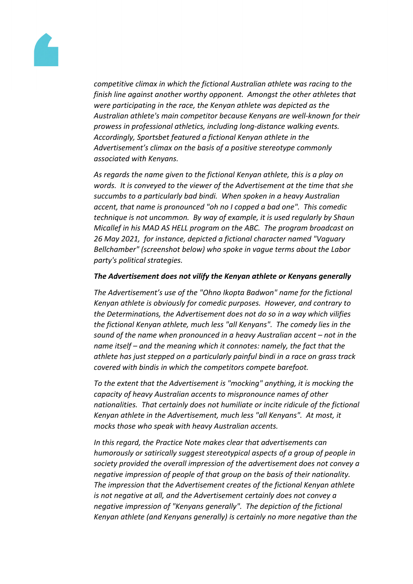

*competitive climax in which the fictional Australian athlete was racing to the finish line against another worthy opponent. Amongst the other athletes that were participating in the race, the Kenyan athlete was depicted as the Australian athlete's main competitor because Kenyans are well-known for their prowess in professional athletics, including long-distance walking events. Accordingly, Sportsbet featured a fictional Kenyan athlete in the Advertisement's climax on the basis of a positive stereotype commonly associated with Kenyans.*

*As regards the name given to the fictional Kenyan athlete, this is a play on words. It is conveyed to the viewer of the Advertisement at the time that she succumbs to a particularly bad bindi. When spoken in a heavy Australian accent, that name is pronounced "oh no I copped a bad one". This comedic technique is not uncommon. By way of example, it is used regularly by Shaun Micallef in his MAD AS HELL program on the ABC. The program broadcast on 26 May 2021, for instance, depicted a fictional character named "Vaguary Bellchamber" (screenshot below) who spoke in vague terms about the Labor party's political strategies.*

## *The Advertisement does not vilify the Kenyan athlete or Kenyans generally*

*The Advertisement's use of the "Ohno Ikopta Badwon" name for the fictional Kenyan athlete is obviously for comedic purposes. However, and contrary to the Determinations, the Advertisement does not do so in a way which vilifies the fictional Kenyan athlete, much less "all Kenyans". The comedy lies in the sound of the name when pronounced in a heavy Australian accent – not in the name itself – and the meaning which it connotes: namely, the fact that the athlete has just stepped on a particularly painful bindi in a race on grass track covered with bindis in which the competitors compete barefoot.*

*To the extent that the Advertisement is "mocking" anything, it is mocking the capacity of heavy Australian accents to mispronounce names of other nationalities. That certainly does not humiliate or incite ridicule of the fictional Kenyan athlete in the Advertisement, much less "all Kenyans". At most, it mocks those who speak with heavy Australian accents.*

*In this regard, the Practice Note makes clear that advertisements can humorously or satirically suggest stereotypical aspects of a group of people in society provided the overall impression of the advertisement does not convey a negative impression of people of that group on the basis of their nationality. The impression that the Advertisement creates of the fictional Kenyan athlete is not negative at all, and the Advertisement certainly does not convey a negative impression of "Kenyans generally". The depiction of the fictional Kenyan athlete (and Kenyans generally) is certainly no more negative than the*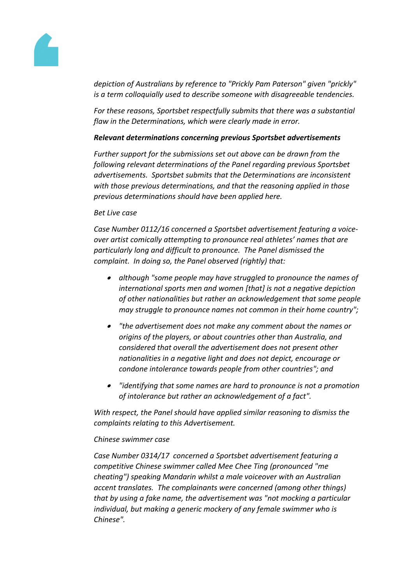

*depiction of Australians by reference to "Prickly Pam Paterson" given "prickly" is a term colloquially used to describe someone with disagreeable tendencies.*

*For these reasons, Sportsbet respectfully submits that there was a substantial flaw in the Determinations, which were clearly made in error.*

## *Relevant determinations concerning previous Sportsbet advertisements*

*Further support for the submissions set out above can be drawn from the following relevant determinations of the Panel regarding previous Sportsbet advertisements. Sportsbet submits that the Determinations are inconsistent with those previous determinations, and that the reasoning applied in those previous determinations should have been applied here.*

## *Bet Live case*

*Case Number 0112/16 concerned a Sportsbet advertisement featuring a voiceover artist comically attempting to pronounce real athletes' names that are particularly long and difficult to pronounce. The Panel dismissed the complaint. In doing so, the Panel observed (rightly) that:*

- *although "some people may have struggled to pronounce the names of international sports men and women [that] is not a negative depiction of other nationalities but rather an acknowledgement that some people may struggle to pronounce names not common in their home country";*
- *"the advertisement does not make any comment about the names or origins of the players, or about countries other than Australia, and considered that overall the advertisement does not present other nationalities in a negative light and does not depict, encourage or condone intolerance towards people from other countries"; and*
- *"identifying that some names are hard to pronounce is not a promotion of intolerance but rather an acknowledgement of a fact".*

*With respect, the Panel should have applied similar reasoning to dismiss the complaints relating to this Advertisement.* 

## *Chinese swimmer case*

*Case Number 0314/17 concerned a Sportsbet advertisement featuring a competitive Chinese swimmer called Mee Chee Ting (pronounced "me cheating") speaking Mandarin whilst a male voiceover with an Australian accent translates. The complainants were concerned (among other things) that by using a fake name, the advertisement was "not mocking a particular individual, but making a generic mockery of any female swimmer who is Chinese".*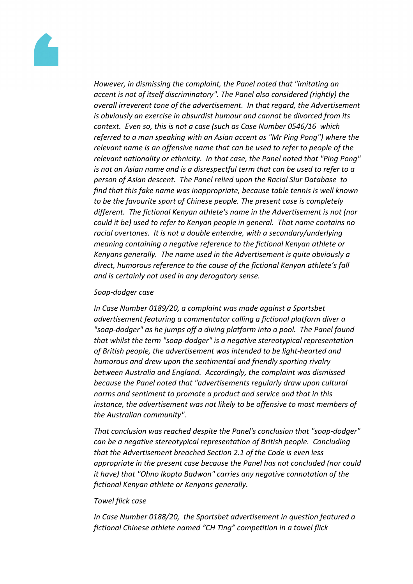

*However, in dismissing the complaint, the Panel noted that "imitating an accent is not of itself discriminatory". The Panel also considered (rightly) the overall irreverent tone of the advertisement. In that regard, the Advertisement is obviously an exercise in absurdist humour and cannot be divorced from its context. Even so, this is not a case (such as Case Number 0546/16 which referred to a man speaking with an Asian accent as "Mr Ping Pong") where the relevant name is an offensive name that can be used to refer to people of the relevant nationality or ethnicity. In that case, the Panel noted that "Ping Pong" is not an Asian name and is a disrespectful term that can be used to refer to a person of Asian descent. The Panel relied upon the Racial Slur Database to find that this fake name was inappropriate, because table tennis is well known to be the favourite sport of Chinese people. The present case is completely different. The fictional Kenyan athlete's name in the Advertisement is not (nor could it be) used to refer to Kenyan people in general. That name contains no racial overtones. It is not a double entendre, with a secondary/underlying meaning containing a negative reference to the fictional Kenyan athlete or Kenyans generally. The name used in the Advertisement is quite obviously a direct, humorous reference to the cause of the fictional Kenyan athlete's fall and is certainly not used in any derogatory sense.*

#### *Soap-dodger case*

*In Case Number 0189/20, a complaint was made against a Sportsbet advertisement featuring a commentator calling a fictional platform diver a "soap-dodger" as he jumps off a diving platform into a pool. The Panel found that whilst the term "soap-dodger" is a negative stereotypical representation of British people, the advertisement was intended to be light-hearted and humorous and drew upon the sentimental and friendly sporting rivalry between Australia and England. Accordingly, the complaint was dismissed because the Panel noted that "advertisements regularly draw upon cultural norms and sentiment to promote a product and service and that in this instance, the advertisement was not likely to be offensive to most members of the Australian community".*

*That conclusion was reached despite the Panel's conclusion that "soap-dodger" can be a negative stereotypical representation of British people. Concluding that the Advertisement breached Section 2.1 of the Code is even less appropriate in the present case because the Panel has not concluded (nor could it have) that "Ohno Ikopta Badwon" carries any negative connotation of the fictional Kenyan athlete or Kenyans generally.* 

#### *Towel flick case*

*In Case Number 0188/20, the Sportsbet advertisement in question featured a fictional Chinese athlete named "CH Ting" competition in a towel flick*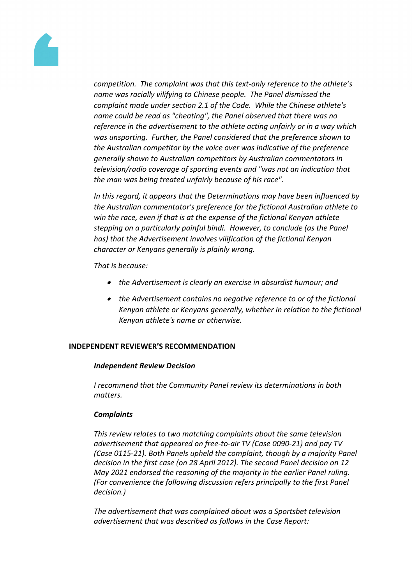

*competition. The complaint was that this text-only reference to the athlete's name was racially vilifying to Chinese people. The Panel dismissed the complaint made under section 2.1 of the Code. While the Chinese athlete's name could be read as "cheating", the Panel observed that there was no reference in the advertisement to the athlete acting unfairly or in a way which was unsporting. Further, the Panel considered that the preference shown to the Australian competitor by the voice over was indicative of the preference generally shown to Australian competitors by Australian commentators in television/radio coverage of sporting events and "was not an indication that the man was being treated unfairly because of his race".* 

*In this regard, it appears that the Determinations may have been influenced by the Australian commentator's preference for the fictional Australian athlete to win the race, even if that is at the expense of the fictional Kenyan athlete stepping on a particularly painful bindi. However, to conclude (as the Panel has) that the Advertisement involves vilification of the fictional Kenyan character or Kenyans generally is plainly wrong.* 

*That is because:*

- *the Advertisement is clearly an exercise in absurdist humour; and*
- *the Advertisement contains no negative reference to or of the fictional Kenyan athlete or Kenyans generally, whether in relation to the fictional Kenyan athlete's name or otherwise.*

# **INDEPENDENT REVIEWER'S RECOMMENDATION**

## *Independent Review Decision*

*I recommend that the Community Panel review its determinations in both matters.* 

## *Complaints*

*This review relates to two matching complaints about the same television advertisement that appeared on free-to-air TV (Case 0090-21) and pay TV (Case 0115-21). Both Panels upheld the complaint, though by a majority Panel decision in the first case (on 28 April 2012). The second Panel decision on 12 May 2021 endorsed the reasoning of the majority in the earlier Panel ruling. (For convenience the following discussion refers principally to the first Panel decision.)*

*The advertisement that was complained about was a Sportsbet television advertisement that was described as follows in the Case Report:*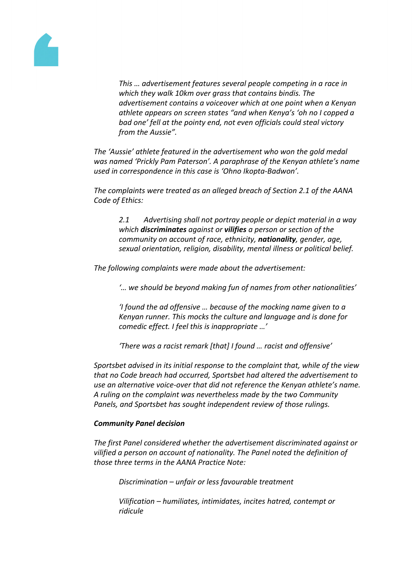

*This … advertisement features several people competing in a race in which they walk 10km over grass that contains bindis. The advertisement contains a voiceover which at one point when a Kenyan athlete appears on screen states "and when Kenya's 'oh no I copped a bad one' fell at the pointy end, not even officials could steal victory from the Aussie".*

*The 'Aussie' athlete featured in the advertisement who won the gold medal was named 'Prickly Pam Paterson'. A paraphrase of the Kenyan athlete's name used in correspondence in this case is 'Ohno Ikopta-Badwon'.*

*The complaints were treated as an alleged breach of Section 2.1 of the AANA Code of Ethics:*

*2.1 Advertising shall not portray people or depict material in a way which discriminates against or vilifies a person or section of the community on account of race, ethnicity, nationality, gender, age, sexual orientation, religion, disability, mental illness or political belief.*

*The following complaints were made about the advertisement:*

*'… we should be beyond making fun of names from other nationalities'*

*'I found the ad offensive … because of the mocking name given to a Kenyan runner. This mocks the culture and language and is done for comedic effect. I feel this is inappropriate …'*

*'There was a racist remark [that] I found … racist and offensive'*

*Sportsbet advised in its initial response to the complaint that, while of the view that no Code breach had occurred, Sportsbet had altered the advertisement to use an alternative voice-over that did not reference the Kenyan athlete's name. A ruling on the complaint was nevertheless made by the two Community Panels, and Sportsbet has sought independent review of those rulings.*

#### *Community Panel decision*

*The first Panel considered whether the advertisement discriminated against or vilified a person on account of nationality. The Panel noted the definition of those three terms in the AANA Practice Note:*

*Discrimination – unfair or less favourable treatment*

*Vilification – humiliates, intimidates, incites hatred, contempt or ridicule*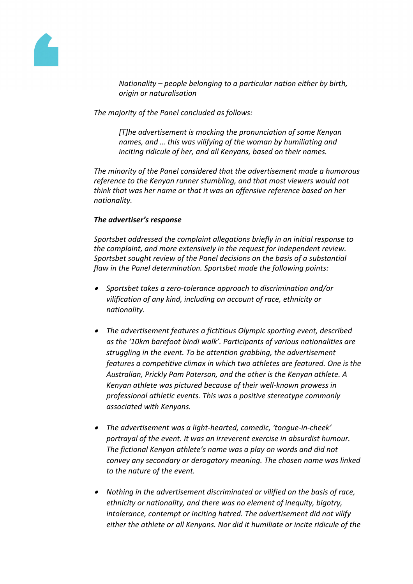

*Nationality – people belonging to a particular nation either by birth, origin or naturalisation*

*The majority of the Panel concluded as follows:*

*[T]he advertisement is mocking the pronunciation of some Kenyan names, and … this was vilifying of the woman by humiliating and inciting ridicule of her, and all Kenyans, based on their names.*

*The minority of the Panel considered that the advertisement made a humorous reference to the Kenyan runner stumbling, and that most viewers would not think that was her name or that it was an offensive reference based on her nationality.*

## *The advertiser's response*

*Sportsbet addressed the complaint allegations briefly in an initial response to the complaint, and more extensively in the request for independent review. Sportsbet sought review of the Panel decisions on the basis of a substantial flaw in the Panel determination. Sportsbet made the following points:*

- *Sportsbet takes a zero-tolerance approach to discrimination and/or vilification of any kind, including on account of race, ethnicity or nationality.*
- *The advertisement features a fictitious Olympic sporting event, described as the '10km barefoot bindi walk'. Participants of various nationalities are struggling in the event. To be attention grabbing, the advertisement features a competitive climax in which two athletes are featured. One is the Australian, Prickly Pam Paterson, and the other is the Kenyan athlete. A Kenyan athlete was pictured because of their well-known prowess in professional athletic events. This was a positive stereotype commonly associated with Kenyans.*
- *The advertisement was a light-hearted, comedic, 'tongue-in-cheek' portrayal of the event. It was an irreverent exercise in absurdist humour. The fictional Kenyan athlete's name was a play on words and did not convey any secondary or derogatory meaning. The chosen name was linked to the nature of the event.*
- *Nothing in the advertisement discriminated or vilified on the basis of race, ethnicity or nationality, and there was no element of inequity, bigotry, intolerance, contempt or inciting hatred. The advertisement did not vilify either the athlete or all Kenyans. Nor did it humiliate or incite ridicule of the*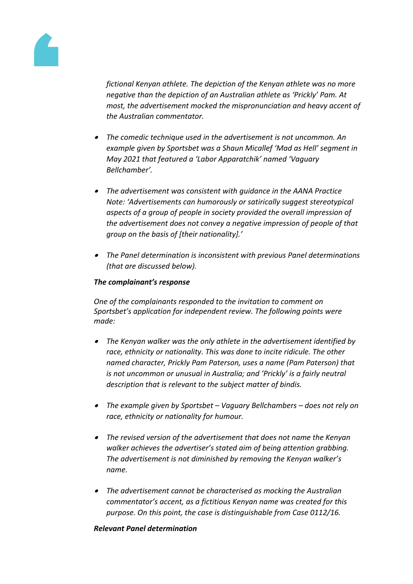

*fictional Kenyan athlete. The depiction of the Kenyan athlete was no more negative than the depiction of an Australian athlete as 'Prickly' Pam. At most, the advertisement mocked the mispronunciation and heavy accent of the Australian commentator.*

- *The comedic technique used in the advertisement is not uncommon. An example given by Sportsbet was a Shaun Micallef 'Mad as Hell' segment in May 2021 that featured a 'Labor Apparatchik' named 'Vaguary Bellchamber'.*
- *The advertisement was consistent with guidance in the AANA Practice Note: 'Advertisements can humorously or satirically suggest stereotypical aspects of a group of people in society provided the overall impression of the advertisement does not convey a negative impression of people of that group on the basis of [their nationality].'*
- *The Panel determination is inconsistent with previous Panel determinations (that are discussed below).*

# *The complainant's response*

*One of the complainants responded to the invitation to comment on Sportsbet's application for independent review. The following points were made:*

- *The Kenyan walker was the only athlete in the advertisement identified by race, ethnicity or nationality. This was done to incite ridicule. The other named character, Prickly Pam Paterson, uses a name (Pam Paterson) that is not uncommon or unusual in Australia; and 'Prickly' is a fairly neutral description that is relevant to the subject matter of bindis.*
- *The example given by Sportsbet – Vaguary Bellchambers – does not rely on race, ethnicity or nationality for humour.*
- *The revised version of the advertisement that does not name the Kenyan walker achieves the advertiser's stated aim of being attention grabbing. The advertisement is not diminished by removing the Kenyan walker's name.*
- *The advertisement cannot be characterised as mocking the Australian commentator's accent, as a fictitious Kenyan name was created for this purpose. On this point, the case is distinguishable from Case 0112/16.*

## *Relevant Panel determination*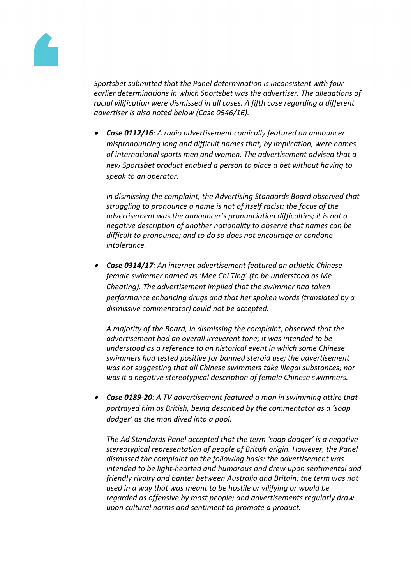

*Sportsbet submitted that the Panel determination is inconsistent with four earlier determinations in which Sportsbet was the advertiser. The allegations of racial vilification were dismissed in all cases. A fifth case regarding a different advertiser is also noted below (Case 0546/16).*

 *Case 0112/16: A radio advertisement comically featured an announcer mispronouncing long and difficult names that, by implication, were names of international sports men and women. The advertisement advised that a new Sportsbet product enabled a person to place a bet without having to speak to an operator.*

*In dismissing the complaint, the Advertising Standards Board observed that struggling to pronounce a name is not of itself racist; the focus of the advertisement was the announcer's pronunciation difficulties; it is not a negative description of another nationality to observe that names can be difficult to pronounce; and to do so does not encourage or condone intolerance.*

 *Case 0314/17: An internet advertisement featured an athletic Chinese female swimmer named as 'Mee Chi Ting' (to be understood as Me Cheating). The advertisement implied that the swimmer had taken performance enhancing drugs and that her spoken words (translated by a dismissive commentator) could not be accepted.*

*A majority of the Board, in dismissing the complaint, observed that the advertisement had an overall irreverent tone; it was intended to be understood as a reference to an historical event in which some Chinese swimmers had tested positive for banned steroid use; the advertisement was not suggesting that all Chinese swimmers take illegal substances; nor was it a negative stereotypical description of female Chinese swimmers.*

 *Case 0189-20: A TV advertisement featured a man in swimming attire that portrayed him as British, being described by the commentator as a 'soap dodger' as the man dived into a pool.*

*The Ad Standards Panel accepted that the term 'soap dodger' is a negative stereotypical representation of people of British origin. However, the Panel dismissed the complaint on the following basis: the advertisement was intended to be light-hearted and humorous and drew upon sentimental and friendly rivalry and banter between Australia and Britain; the term was not used in a way that was meant to be hostile or vilifying or would be regarded as offensive by most people; and advertisements regularly draw upon cultural norms and sentiment to promote a product.*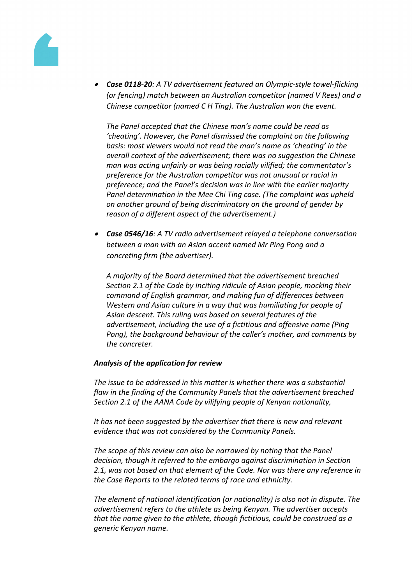

 *Case 0118-20: A TV advertisement featured an Olympic-style towel-flicking (or fencing) match between an Australian competitor (named V Rees) and a Chinese competitor (named C H Ting). The Australian won the event.*

*The Panel accepted that the Chinese man's name could be read as 'cheating'. However, the Panel dismissed the complaint on the following basis: most viewers would not read the man's name as 'cheating' in the overall context of the advertisement; there was no suggestion the Chinese man was acting unfairly or was being racially vilified; the commentator's preference for the Australian competitor was not unusual or racial in preference; and the Panel's decision was in line with the earlier majority Panel determination in the Mee Chi Ting case. (The complaint was upheld on another ground of being discriminatory on the ground of gender by reason of a different aspect of the advertisement.)*

 *Case 0546/16: A TV radio advertisement relayed a telephone conversation between a man with an Asian accent named Mr Ping Pong and a concreting firm (the advertiser).*

*A majority of the Board determined that the advertisement breached Section 2.1 of the Code by inciting ridicule of Asian people, mocking their command of English grammar, and making fun of differences between Western and Asian culture in a way that was humiliating for people of Asian descent. This ruling was based on several features of the advertisement, including the use of a fictitious and offensive name (Ping Pong), the background behaviour of the caller's mother, and comments by the concreter.*

## *Analysis of the application for review*

*The issue to be addressed in this matter is whether there was a substantial flaw in the finding of the Community Panels that the advertisement breached Section 2.1 of the AANA Code by vilifying people of Kenyan nationality,*

*It has not been suggested by the advertiser that there is new and relevant evidence that was not considered by the Community Panels.*

*The scope of this review can also be narrowed by noting that the Panel decision, though it referred to the embargo against discrimination in Section 2.1, was not based on that element of the Code. Nor was there any reference in the Case Reports to the related terms of race and ethnicity.*

*The element of national identification (or nationality) is also not in dispute. The advertisement refers to the athlete as being Kenyan. The advertiser accepts that the name given to the athlete, though fictitious, could be construed as a generic Kenyan name.*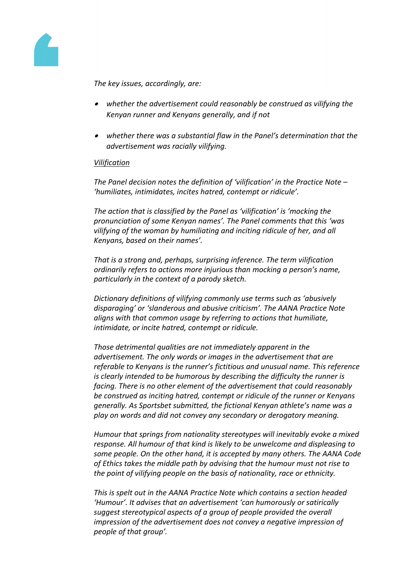

*The key issues, accordingly, are:*

- *whether the advertisement could reasonably be construed as vilifying the Kenyan runner and Kenyans generally, and if not*
- *whether there was a substantial flaw in the Panel's determination that the advertisement was racially vilifying.*

## *Vilification*

*The Panel decision notes the definition of 'vilification' in the Practice Note – 'humiliates, intimidates, incites hatred, contempt or ridicule'.*

*The action that is classified by the Panel as 'vilification' is 'mocking the pronunciation of some Kenyan names'. The Panel comments that this 'was vilifying of the woman by humiliating and inciting ridicule of her, and all Kenyans, based on their names'.*

*That is a strong and, perhaps, surprising inference. The term vilification ordinarily refers to actions more injurious than mocking a person's name, particularly in the context of a parody sketch.*

*Dictionary definitions of vilifying commonly use terms such as 'abusively disparaging' or 'slanderous and abusive criticism'. The AANA Practice Note aligns with that common usage by referring to actions that humiliate, intimidate, or incite hatred, contempt or ridicule.*

*Those detrimental qualities are not immediately apparent in the advertisement. The only words or images in the advertisement that are referable to Kenyans is the runner's fictitious and unusual name. This reference is clearly intended to be humorous by describing the difficulty the runner is facing. There is no other element of the advertisement that could reasonably be construed as inciting hatred, contempt or ridicule of the runner or Kenyans generally. As Sportsbet submitted, the fictional Kenyan athlete's name was a play on words and did not convey any secondary or derogatory meaning.*

*Humour that springs from nationality stereotypes will inevitably evoke a mixed response. All humour of that kind is likely to be unwelcome and displeasing to some people. On the other hand, it is accepted by many others. The AANA Code of Ethics takes the middle path by advising that the humour must not rise to the point of vilifying people on the basis of nationality, race or ethnicity.*

*This is spelt out in the AANA Practice Note which contains a section headed 'Humour'. It advises that an advertisement 'can humorously or satirically suggest stereotypical aspects of a group of people provided the overall impression of the advertisement does not convey a negative impression of people of that group'.*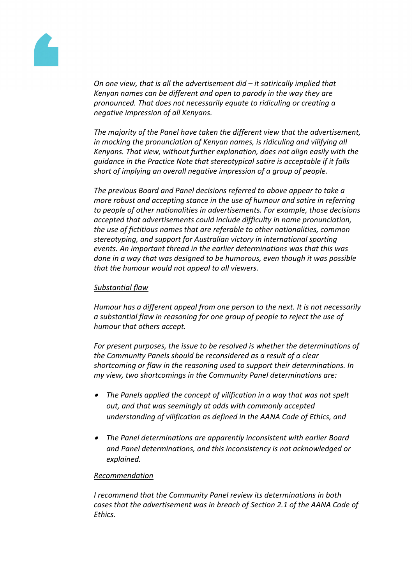

*On one view, that is all the advertisement did – it satirically implied that Kenyan names can be different and open to parody in the way they are pronounced. That does not necessarily equate to ridiculing or creating a negative impression of all Kenyans.*

*The majority of the Panel have taken the different view that the advertisement, in mocking the pronunciation of Kenyan names, is ridiculing and vilifying all Kenyans. That view, without further explanation, does not align easily with the guidance in the Practice Note that stereotypical satire is acceptable if it falls short of implying an overall negative impression of a group of people.*

*The previous Board and Panel decisions referred to above appear to take a more robust and accepting stance in the use of humour and satire in referring to people of other nationalities in advertisements. For example, those decisions accepted that advertisements could include difficulty in name pronunciation, the use of fictitious names that are referable to other nationalities, common stereotyping, and support for Australian victory in international sporting events. An important thread in the earlier determinations was that this was done in a way that was designed to be humorous, even though it was possible that the humour would not appeal to all viewers.*

## *Substantial flaw*

*Humour has a different appeal from one person to the next. It is not necessarily a substantial flaw in reasoning for one group of people to reject the use of humour that others accept.*

*For present purposes, the issue to be resolved is whether the determinations of the Community Panels should be reconsidered as a result of a clear shortcoming or flaw in the reasoning used to support their determinations. In my view, two shortcomings in the Community Panel determinations are:*

- *The Panels applied the concept of vilification in a way that was not spelt out, and that was seemingly at odds with commonly accepted understanding of vilification as defined in the AANA Code of Ethics, and*
- *The Panel determinations are apparently inconsistent with earlier Board and Panel determinations, and this inconsistency is not acknowledged or explained.*

#### *Recommendation*

*I recommend that the Community Panel review its determinations in both cases that the advertisement was in breach of Section 2.1 of the AANA Code of Ethics.*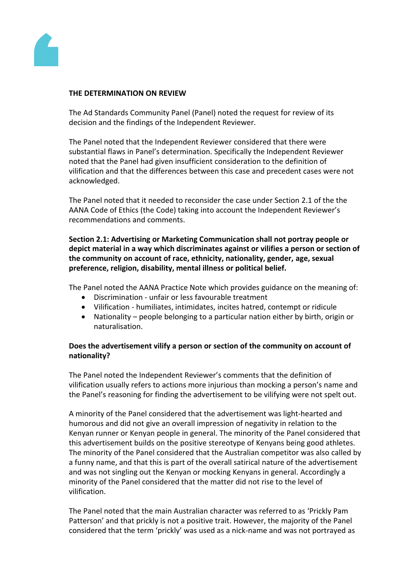

## **THE DETERMINATION ON REVIEW**

The Ad Standards Community Panel (Panel) noted the request for review of its decision and the findings of the Independent Reviewer.

The Panel noted that the Independent Reviewer considered that there were substantial flaws in Panel's determination. Specifically the Independent Reviewer noted that the Panel had given insufficient consideration to the definition of vilification and that the differences between this case and precedent cases were not acknowledged.

The Panel noted that it needed to reconsider the case under Section 2.1 of the the AANA Code of Ethics (the Code) taking into account the Independent Reviewer's recommendations and comments.

**Section 2.1: Advertising or Marketing Communication shall not portray people or depict material in a way which discriminates against or vilifies a person or section of the community on account of race, ethnicity, nationality, gender, age, sexual preference, religion, disability, mental illness or political belief.**

The Panel noted the AANA Practice Note which provides guidance on the meaning of:

- Discrimination unfair or less favourable treatment
- Vilification humiliates, intimidates, incites hatred, contempt or ridicule
- Nationality people belonging to a particular nation either by birth, origin or naturalisation.

# **Does the advertisement vilify a person or section of the community on account of nationality?**

The Panel noted the Independent Reviewer's comments that the definition of vilification usually refers to actions more injurious than mocking a person's name and the Panel's reasoning for finding the advertisement to be vilifying were not spelt out.

A minority of the Panel considered that the advertisement was light-hearted and humorous and did not give an overall impression of negativity in relation to the Kenyan runner or Kenyan people in general. The minority of the Panel considered that this advertisement builds on the positive stereotype of Kenyans being good athletes. The minority of the Panel considered that the Australian competitor was also called by a funny name, and that this is part of the overall satirical nature of the advertisement and was not singling out the Kenyan or mocking Kenyans in general. Accordingly a minority of the Panel considered that the matter did not rise to the level of vilification.

The Panel noted that the main Australian character was referred to as 'Prickly Pam Patterson' and that prickly is not a positive trait. However, the majority of the Panel considered that the term 'prickly' was used as a nick-name and was not portrayed as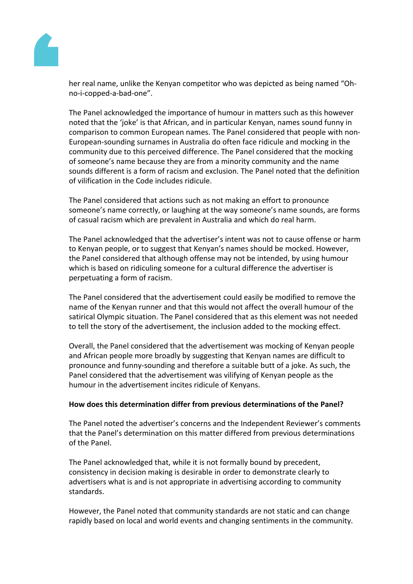

her real name, unlike the Kenyan competitor who was depicted as being named "Ohno-i-copped-a-bad-one".

The Panel acknowledged the importance of humour in matters such as this however noted that the 'joke' is that African, and in particular Kenyan, names sound funny in comparison to common European names. The Panel considered that people with non-European-sounding surnames in Australia do often face ridicule and mocking in the community due to this perceived difference. The Panel considered that the mocking of someone's name because they are from a minority community and the name sounds different is a form of racism and exclusion. The Panel noted that the definition of vilification in the Code includes ridicule.

The Panel considered that actions such as not making an effort to pronounce someone's name correctly, or laughing at the way someone's name sounds, are forms of casual racism which are prevalent in Australia and which do real harm.

The Panel acknowledged that the advertiser's intent was not to cause offense or harm to Kenyan people, or to suggest that Kenyan's names should be mocked. However, the Panel considered that although offense may not be intended, by using humour which is based on ridiculing someone for a cultural difference the advertiser is perpetuating a form of racism.

The Panel considered that the advertisement could easily be modified to remove the name of the Kenyan runner and that this would not affect the overall humour of the satirical Olympic situation. The Panel considered that as this element was not needed to tell the story of the advertisement, the inclusion added to the mocking effect.

Overall, the Panel considered that the advertisement was mocking of Kenyan people and African people more broadly by suggesting that Kenyan names are difficult to pronounce and funny-sounding and therefore a suitable butt of a joke. As such, the Panel considered that the advertisement was vilifying of Kenyan people as the humour in the advertisement incites ridicule of Kenyans.

## **How does this determination differ from previous determinations of the Panel?**

The Panel noted the advertiser's concerns and the Independent Reviewer's comments that the Panel's determination on this matter differed from previous determinations of the Panel.

The Panel acknowledged that, while it is not formally bound by precedent, consistency in decision making is desirable in order to demonstrate clearly to advertisers what is and is not appropriate in advertising according to community standards.

However, the Panel noted that community standards are not static and can change rapidly based on local and world events and changing sentiments in the community.